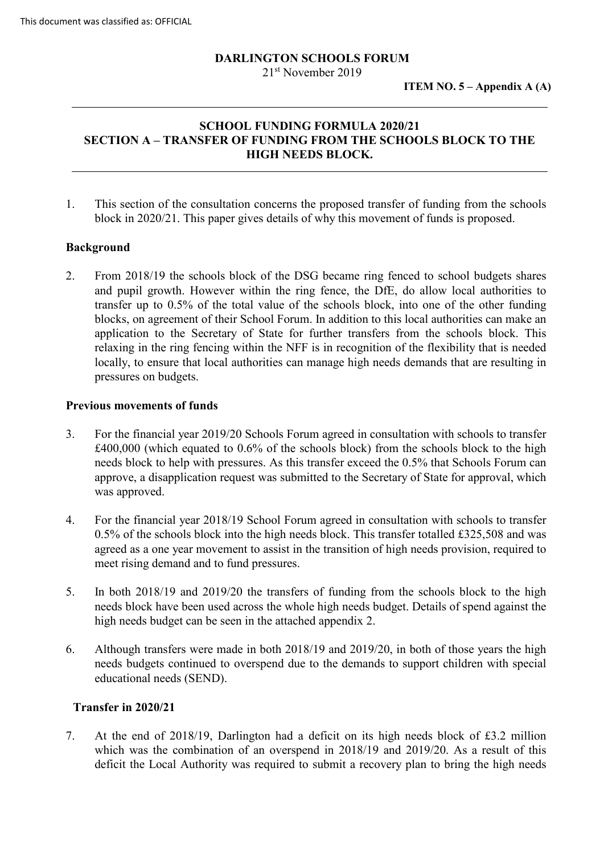# **DARLINGTON SCHOOLS FORUM**

21st November 2019

# **SCHOOL FUNDING FORMULA 2020/21 SECTION A – TRANSFER OF FUNDING FROM THE SCHOOLS BLOCK TO THE HIGH NEEDS BLOCK.**

1. This section of the consultation concerns the proposed transfer of funding from the schools block in 2020/21. This paper gives details of why this movement of funds is proposed.

#### **Background**

2. From 2018/19 the schools block of the DSG became ring fenced to school budgets shares and pupil growth. However within the ring fence, the DfE, do allow local authorities to transfer up to 0.5% of the total value of the schools block, into one of the other funding blocks, on agreement of their School Forum. In addition to this local authorities can make an application to the Secretary of State for further transfers from the schools block. This relaxing in the ring fencing within the NFF is in recognition of the flexibility that is needed locally, to ensure that local authorities can manage high needs demands that are resulting in pressures on budgets.

#### **Previous movements of funds**

- 3. For the financial year 2019/20 Schools Forum agreed in consultation with schools to transfer £400,000 (which equated to 0.6% of the schools block) from the schools block to the high needs block to help with pressures. As this transfer exceed the 0.5% that Schools Forum can approve, a disapplication request was submitted to the Secretary of State for approval, which was approved.
- 4. For the financial year 2018/19 School Forum agreed in consultation with schools to transfer 0.5% of the schools block into the high needs block. This transfer totalled £325,508 and was agreed as a one year movement to assist in the transition of high needs provision, required to meet rising demand and to fund pressures.
- 5. In both 2018/19 and 2019/20 the transfers of funding from the schools block to the high needs block have been used across the whole high needs budget. Details of spend against the high needs budget can be seen in the attached appendix 2.
- 6. Although transfers were made in both 2018/19 and 2019/20, in both of those years the high needs budgets continued to overspend due to the demands to support children with special educational needs (SEND).

# **Transfer in 2020/21**

7. At the end of 2018/19, Darlington had a deficit on its high needs block of £3.2 million which was the combination of an overspend in 2018/19 and 2019/20. As a result of this deficit the Local Authority was required to submit a recovery plan to bring the high needs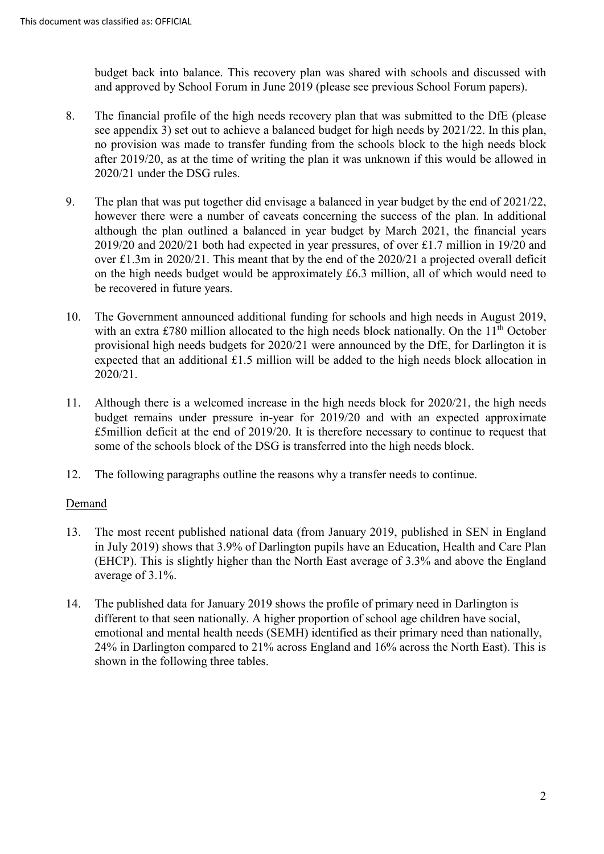budget back into balance. This recovery plan was shared with schools and discussed with and approved by School Forum in June 2019 (please see previous School Forum papers).

- 8. The financial profile of the high needs recovery plan that was submitted to the DfE (please see appendix 3) set out to achieve a balanced budget for high needs by 2021/22. In this plan, no provision was made to transfer funding from the schools block to the high needs block after 2019/20, as at the time of writing the plan it was unknown if this would be allowed in 2020/21 under the DSG rules.
- 9. The plan that was put together did envisage a balanced in year budget by the end of 2021/22, however there were a number of caveats concerning the success of the plan. In additional although the plan outlined a balanced in year budget by March 2021, the financial years 2019/20 and 2020/21 both had expected in year pressures, of over £1.7 million in 19/20 and over £1.3m in 2020/21. This meant that by the end of the 2020/21 a projected overall deficit on the high needs budget would be approximately £6.3 million, all of which would need to be recovered in future years.
- 10. The Government announced additional funding for schools and high needs in August 2019, with an extra £780 million allocated to the high needs block nationally. On the  $11<sup>th</sup>$  October provisional high needs budgets for 2020/21 were announced by the DfE, for Darlington it is expected that an additional £1.5 million will be added to the high needs block allocation in 2020/21.
- 11. Although there is a welcomed increase in the high needs block for 2020/21, the high needs budget remains under pressure in-year for 2019/20 and with an expected approximate £5million deficit at the end of 2019/20. It is therefore necessary to continue to request that some of the schools block of the DSG is transferred into the high needs block.
- 12. The following paragraphs outline the reasons why a transfer needs to continue.

### Demand

- 13. The most recent published national data (from January 2019, published in SEN in England in July 2019) shows that 3.9% of Darlington pupils have an Education, Health and Care Plan (EHCP). This is slightly higher than the North East average of 3.3% and above the England average of 3.1%.
- 14. The published data for January 2019 shows the profile of primary need in Darlington is different to that seen nationally. A higher proportion of school age children have social, emotional and mental health needs (SEMH) identified as their primary need than nationally, 24% in Darlington compared to 21% across England and 16% across the North East). This is shown in the following three tables.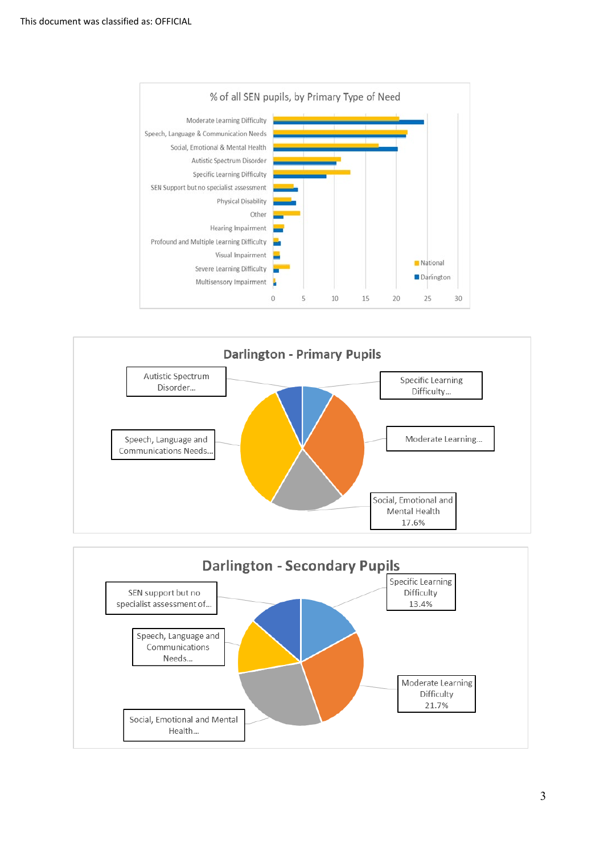





3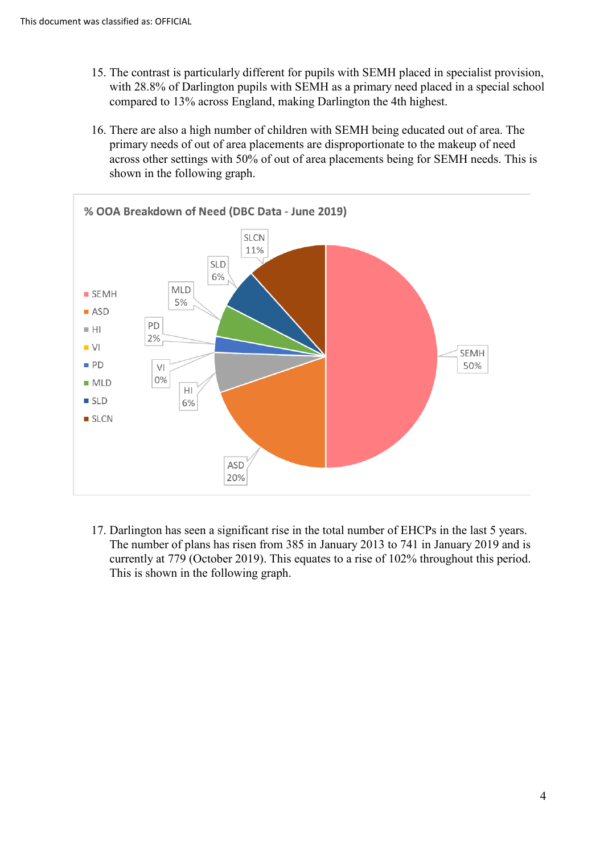- 15. The contrast is particularly different for pupils with SEMH placed in specialist provision, with 28.8% of Darlington pupils with SEMH as a primary need placed in a special school compared to 13% across England, making Darlington the 4th highest.
- 16. There are also a high number of children with SEMH being educated out of area. The primary needs of out of area placements are disproportionate to the makeup of need across other settings with 50% of out of area placements being for SEMH needs. This is shown in the following graph.



17. Darlington has seen a significant rise in the total number of EHCPs in the last 5 years. The number of plans has risen from 385 in January 2013 to 741 in January 2019 and is currently at 779 (October 2019). This equates to a rise of 102% throughout this period. This is shown in the following graph.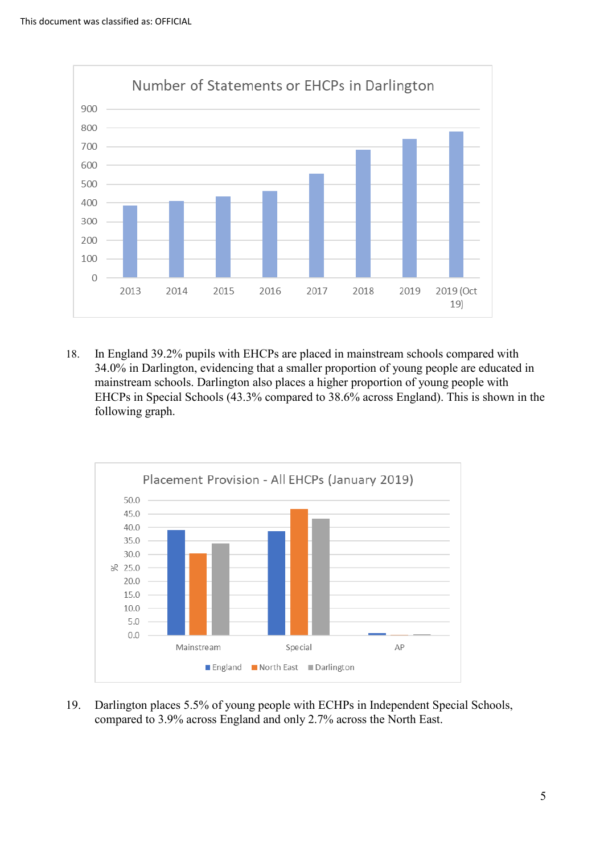

18. In England 39.2% pupils with EHCPs are placed in mainstream schools compared with 34.0% in Darlington, evidencing that a smaller proportion of young people are educated in mainstream schools. Darlington also places a higher proportion of young people with EHCPs in Special Schools (43.3% compared to 38.6% across England). This is shown in the following graph.



19. Darlington places 5.5% of young people with ECHPs in Independent Special Schools, compared to 3.9% across England and only 2.7% across the North East.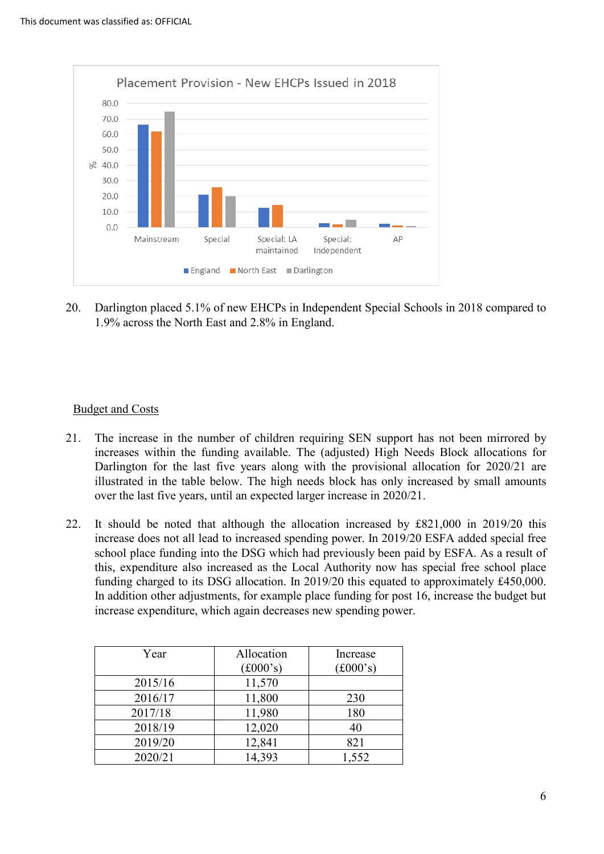

20. Darlington placed 5.1% of new EHCPs in Independent Special Schools in 2018 compared to 1.9% across the North East and 2.8% in England.

### Budget and Costs

- 21. The increase in the number of children requiring SEN support has not been mirrored by increases within the funding available. The (adjusted) High Needs Block allocations for Darlington for the last five years along with the provisional allocation for 2020/21 are illustrated in the table below. The high needs block has only increased by small amounts over the last five years, until an expected larger increase in 2020/21.
- 22. It should be noted that although the allocation increased by £821,000 in 2019/20 this increase does not all lead to increased spending power. In 2019/20 ESFA added special free school place funding into the DSG which had previously been paid by ESFA. As a result of this, expenditure also increased as the Local Authority now has special free school place funding charged to its DSG allocation. In 2019/20 this equated to approximately £450,000. In addition other adjustments, for example place funding for post 16, increase the budget but increase expenditure, which again decreases new spending power.

| Year    | Allocation                     | Increase                       |
|---------|--------------------------------|--------------------------------|
|         | $(\text{\pounds}000\text{'s})$ | $(\text{\pounds}000\text{'s})$ |
| 2015/16 | 11,570                         |                                |
| 2016/17 | 11,800                         | 230                            |
| 2017/18 | 11,980                         | 180                            |
| 2018/19 | 12,020                         | 40                             |
| 2019/20 | 12,841                         | 821                            |
| 2020/21 | 14,393                         | 1,552                          |
|         |                                |                                |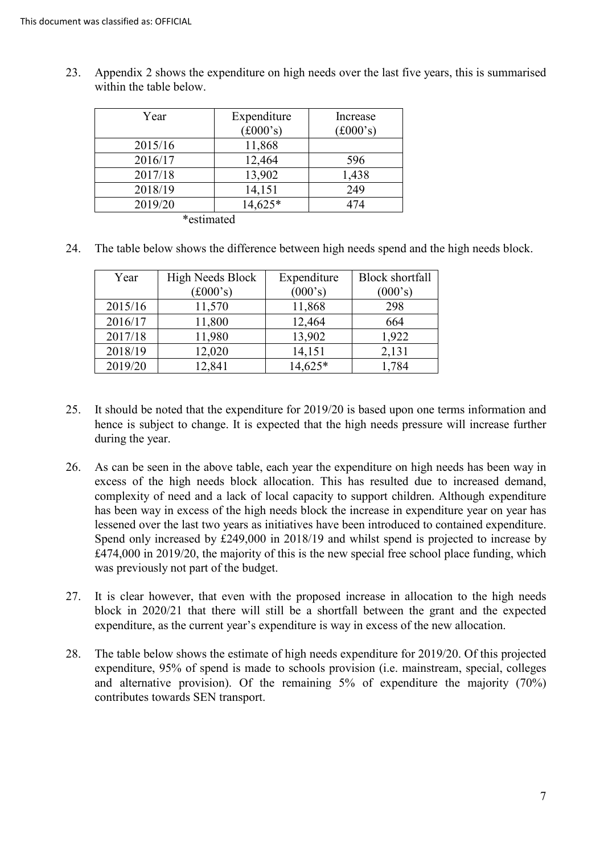| Year       | Expenditure                    | Increase                       |
|------------|--------------------------------|--------------------------------|
|            | $(\text{\pounds}000\text{'s})$ | $(\text{\pounds}000\text{'s})$ |
| 2015/16    | 11,868                         |                                |
| 2016/17    | 12,464                         | 596                            |
| 2017/18    | 13,902                         | 1,438                          |
| 2018/19    | 14,151                         | 249                            |
| 2019/20    | 14,625*                        | 474                            |
| *estimated |                                |                                |

23. Appendix 2 shows the expenditure on high needs over the last five years, this is summarised within the table below.

24. The table below shows the difference between high needs spend and the high needs block.

| Year    | <b>High Needs Block</b>  | Expenditure | <b>Block shortfall</b> |
|---------|--------------------------|-------------|------------------------|
|         | $(\pounds000 \text{'s})$ | (000's)     | (000's)                |
| 2015/16 | 11,570                   | 11,868      | 298                    |
| 2016/17 | 11,800                   | 12,464      | 664                    |
| 2017/18 | 11,980                   | 13,902      | 1,922                  |
| 2018/19 | 12,020                   | 14,151      | 2,131                  |
| 2019/20 | 12,841                   | 14,625*     | 1,784                  |

- 25. It should be noted that the expenditure for 2019/20 is based upon one terms information and hence is subject to change. It is expected that the high needs pressure will increase further during the year.
- 26. As can be seen in the above table, each year the expenditure on high needs has been way in excess of the high needs block allocation. This has resulted due to increased demand, complexity of need and a lack of local capacity to support children. Although expenditure has been way in excess of the high needs block the increase in expenditure year on year has lessened over the last two years as initiatives have been introduced to contained expenditure. Spend only increased by £249,000 in 2018/19 and whilst spend is projected to increase by £474,000 in 2019/20, the majority of this is the new special free school place funding, which was previously not part of the budget.
- 27. It is clear however, that even with the proposed increase in allocation to the high needs block in 2020/21 that there will still be a shortfall between the grant and the expected expenditure, as the current year's expenditure is way in excess of the new allocation.
- 28. The table below shows the estimate of high needs expenditure for 2019/20. Of this projected expenditure, 95% of spend is made to schools provision (i.e. mainstream, special, colleges and alternative provision). Of the remaining 5% of expenditure the majority (70%) contributes towards SEN transport.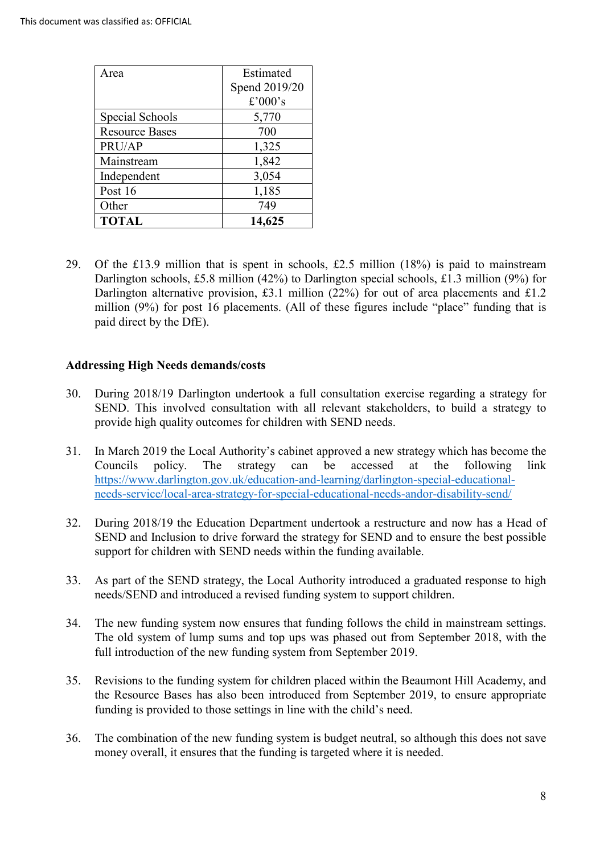| Area                  | Estimated     |  |
|-----------------------|---------------|--|
|                       | Spend 2019/20 |  |
|                       | £'000's       |  |
| Special Schools       | 5,770         |  |
| <b>Resource Bases</b> | 700           |  |
| PRU/AP                | 1,325         |  |
| Mainstream            | 1,842         |  |
| Independent           | 3,054         |  |
| Post 16               | 1,185         |  |
| Other                 | 749           |  |
| <b>TOTAL</b>          | 14,625        |  |

29. Of the £13.9 million that is spent in schools, £2.5 million (18%) is paid to mainstream Darlington schools, £5.8 million (42%) to Darlington special schools, £1.3 million (9%) for Darlington alternative provision, £3.1 million (22%) for out of area placements and £1.2 million (9%) for post 16 placements. (All of these figures include "place" funding that is paid direct by the DfE).

#### **Addressing High Needs demands/costs**

- 30. During 2018/19 Darlington undertook a full consultation exercise regarding a strategy for SEND. This involved consultation with all relevant stakeholders, to build a strategy to provide high quality outcomes for children with SEND needs.
- 31. In March 2019 the Local Authority's cabinet approved a new strategy which has become the Councils policy. The strategy can be accessed at the following link [https://www.darlington.gov.uk/education-and-learning/darlington-special-educational](https://www.darlington.gov.uk/education-and-learning/darlington-special-educational-needs-service/local-area-strategy-for-special-educational-needs-andor-disability-send/)[needs-service/local-area-strategy-for-special-educational-needs-andor-disability-send/](https://www.darlington.gov.uk/education-and-learning/darlington-special-educational-needs-service/local-area-strategy-for-special-educational-needs-andor-disability-send/)
- 32. During 2018/19 the Education Department undertook a restructure and now has a Head of SEND and Inclusion to drive forward the strategy for SEND and to ensure the best possible support for children with SEND needs within the funding available.
- 33. As part of the SEND strategy, the Local Authority introduced a graduated response to high needs/SEND and introduced a revised funding system to support children.
- 34. The new funding system now ensures that funding follows the child in mainstream settings. The old system of lump sums and top ups was phased out from September 2018, with the full introduction of the new funding system from September 2019.
- 35. Revisions to the funding system for children placed within the Beaumont Hill Academy, and the Resource Bases has also been introduced from September 2019, to ensure appropriate funding is provided to those settings in line with the child's need.
- 36. The combination of the new funding system is budget neutral, so although this does not save money overall, it ensures that the funding is targeted where it is needed.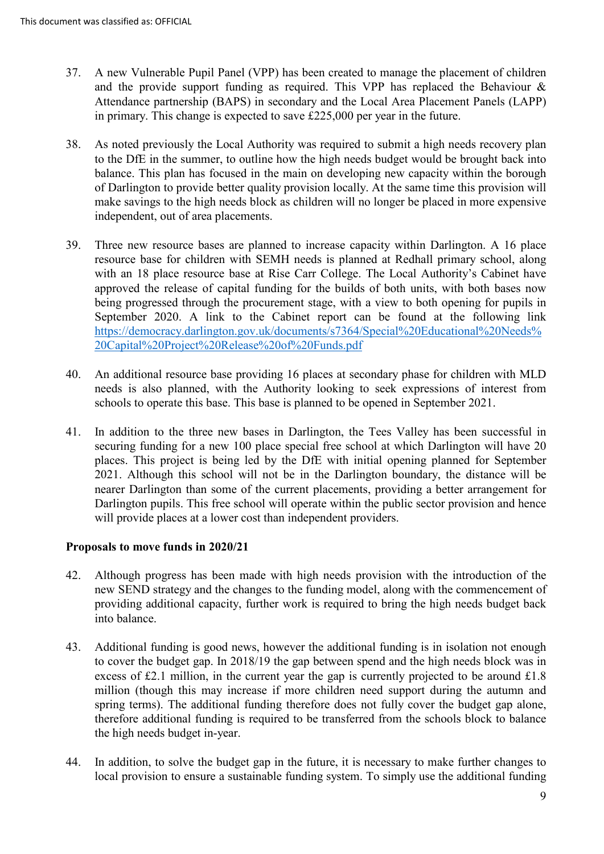- 37. A new Vulnerable Pupil Panel (VPP) has been created to manage the placement of children and the provide support funding as required. This VPP has replaced the Behaviour & Attendance partnership (BAPS) in secondary and the Local Area Placement Panels (LAPP) in primary. This change is expected to save £225,000 per year in the future.
- 38. As noted previously the Local Authority was required to submit a high needs recovery plan to the DfE in the summer, to outline how the high needs budget would be brought back into balance. This plan has focused in the main on developing new capacity within the borough of Darlington to provide better quality provision locally. At the same time this provision will make savings to the high needs block as children will no longer be placed in more expensive independent, out of area placements.
- 39. Three new resource bases are planned to increase capacity within Darlington. A 16 place resource base for children with SEMH needs is planned at Redhall primary school, along with an 18 place resource base at Rise Carr College. The Local Authority's Cabinet have approved the release of capital funding for the builds of both units, with both bases now being progressed through the procurement stage, with a view to both opening for pupils in September 2020. A link to the Cabinet report can be found at the following link [https://democracy.darlington.gov.uk/documents/s7364/Special%20Educational%20Needs%](https://democracy.darlington.gov.uk/documents/s7364/Special%20Educational%20Needs%20Capital%20Project%20Release%20of%20Funds.pdf) [20Capital%20Project%20Release%20of%20Funds.pdf](https://democracy.darlington.gov.uk/documents/s7364/Special%20Educational%20Needs%20Capital%20Project%20Release%20of%20Funds.pdf)
- 40. An additional resource base providing 16 places at secondary phase for children with MLD needs is also planned, with the Authority looking to seek expressions of interest from schools to operate this base. This base is planned to be opened in September 2021.
- 41. In addition to the three new bases in Darlington, the Tees Valley has been successful in securing funding for a new 100 place special free school at which Darlington will have 20 places. This project is being led by the DfE with initial opening planned for September 2021. Although this school will not be in the Darlington boundary, the distance will be nearer Darlington than some of the current placements, providing a better arrangement for Darlington pupils. This free school will operate within the public sector provision and hence will provide places at a lower cost than independent providers.

### **Proposals to move funds in 2020/21**

- 42. Although progress has been made with high needs provision with the introduction of the new SEND strategy and the changes to the funding model, along with the commencement of providing additional capacity, further work is required to bring the high needs budget back into balance.
- 43. Additional funding is good news, however the additional funding is in isolation not enough to cover the budget gap. In 2018/19 the gap between spend and the high needs block was in excess of £2.1 million, in the current year the gap is currently projected to be around £1.8 million (though this may increase if more children need support during the autumn and spring terms). The additional funding therefore does not fully cover the budget gap alone, therefore additional funding is required to be transferred from the schools block to balance the high needs budget in-year.
- 44. In addition, to solve the budget gap in the future, it is necessary to make further changes to local provision to ensure a sustainable funding system. To simply use the additional funding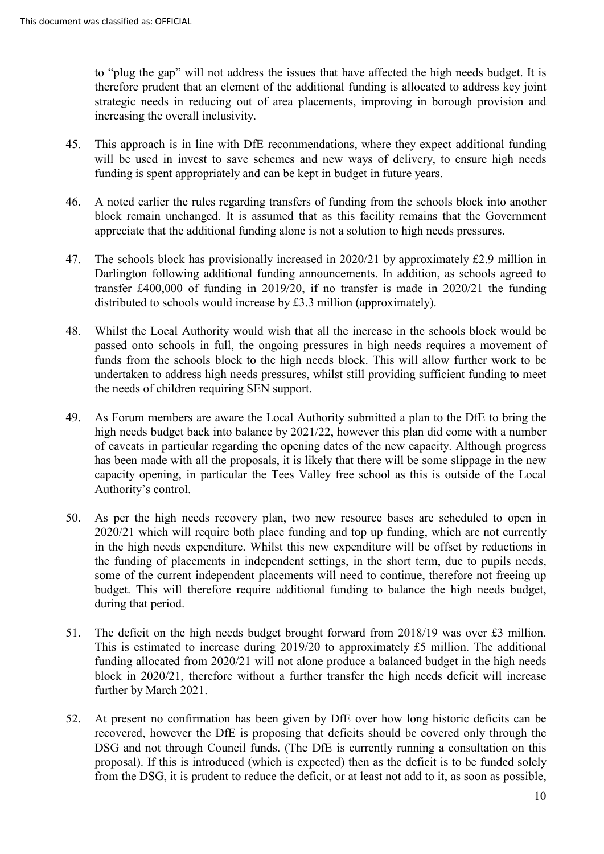to "plug the gap" will not address the issues that have affected the high needs budget. It is therefore prudent that an element of the additional funding is allocated to address key joint strategic needs in reducing out of area placements, improving in borough provision and increasing the overall inclusivity.

- 45. This approach is in line with DfE recommendations, where they expect additional funding will be used in invest to save schemes and new ways of delivery, to ensure high needs funding is spent appropriately and can be kept in budget in future years.
- 46. A noted earlier the rules regarding transfers of funding from the schools block into another block remain unchanged. It is assumed that as this facility remains that the Government appreciate that the additional funding alone is not a solution to high needs pressures.
- 47. The schools block has provisionally increased in 2020/21 by approximately £2.9 million in Darlington following additional funding announcements. In addition, as schools agreed to transfer £400,000 of funding in 2019/20, if no transfer is made in 2020/21 the funding distributed to schools would increase by £3.3 million (approximately).
- 48. Whilst the Local Authority would wish that all the increase in the schools block would be passed onto schools in full, the ongoing pressures in high needs requires a movement of funds from the schools block to the high needs block. This will allow further work to be undertaken to address high needs pressures, whilst still providing sufficient funding to meet the needs of children requiring SEN support.
- 49. As Forum members are aware the Local Authority submitted a plan to the DfE to bring the high needs budget back into balance by 2021/22, however this plan did come with a number of caveats in particular regarding the opening dates of the new capacity. Although progress has been made with all the proposals, it is likely that there will be some slippage in the new capacity opening, in particular the Tees Valley free school as this is outside of the Local Authority's control.
- 50. As per the high needs recovery plan, two new resource bases are scheduled to open in 2020/21 which will require both place funding and top up funding, which are not currently in the high needs expenditure. Whilst this new expenditure will be offset by reductions in the funding of placements in independent settings, in the short term, due to pupils needs, some of the current independent placements will need to continue, therefore not freeing up budget. This will therefore require additional funding to balance the high needs budget, during that period.
- 51. The deficit on the high needs budget brought forward from 2018/19 was over £3 million. This is estimated to increase during 2019/20 to approximately £5 million. The additional funding allocated from 2020/21 will not alone produce a balanced budget in the high needs block in 2020/21, therefore without a further transfer the high needs deficit will increase further by March 2021.
- 52. At present no confirmation has been given by DfE over how long historic deficits can be recovered, however the DfE is proposing that deficits should be covered only through the DSG and not through Council funds. (The DfE is currently running a consultation on this proposal). If this is introduced (which is expected) then as the deficit is to be funded solely from the DSG, it is prudent to reduce the deficit, or at least not add to it, as soon as possible,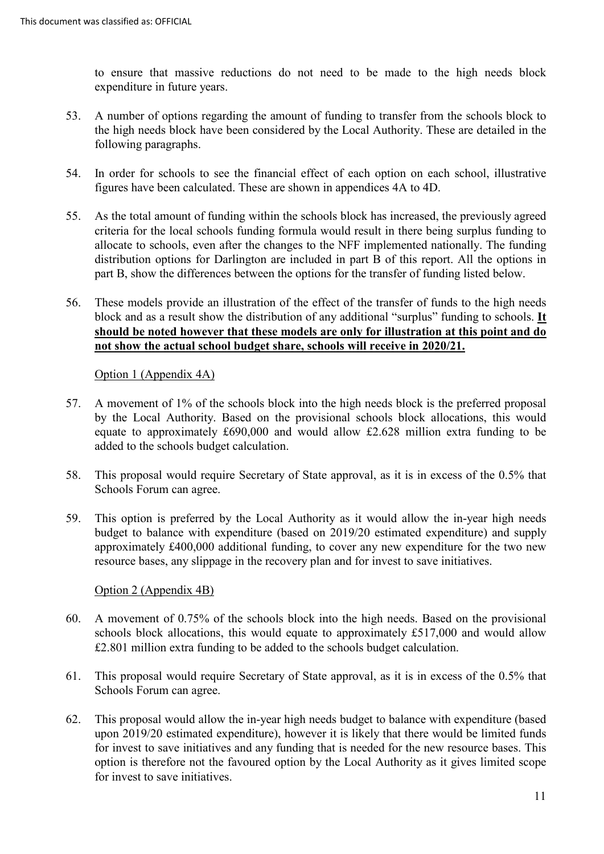to ensure that massive reductions do not need to be made to the high needs block expenditure in future years.

- 53. A number of options regarding the amount of funding to transfer from the schools block to the high needs block have been considered by the Local Authority. These are detailed in the following paragraphs.
- 54. In order for schools to see the financial effect of each option on each school, illustrative figures have been calculated. These are shown in appendices 4A to 4D.
- 55. As the total amount of funding within the schools block has increased, the previously agreed criteria for the local schools funding formula would result in there being surplus funding to allocate to schools, even after the changes to the NFF implemented nationally. The funding distribution options for Darlington are included in part B of this report. All the options in part B, show the differences between the options for the transfer of funding listed below.
- 56. These models provide an illustration of the effect of the transfer of funds to the high needs block and as a result show the distribution of any additional "surplus" funding to schools. **It should be noted however that these models are only for illustration at this point and do not show the actual school budget share, schools will receive in 2020/21.**

Option 1 (Appendix 4A)

- 57. A movement of 1% of the schools block into the high needs block is the preferred proposal by the Local Authority. Based on the provisional schools block allocations, this would equate to approximately £690,000 and would allow £2.628 million extra funding to be added to the schools budget calculation.
- 58. This proposal would require Secretary of State approval, as it is in excess of the 0.5% that Schools Forum can agree.
- 59. This option is preferred by the Local Authority as it would allow the in-year high needs budget to balance with expenditure (based on 2019/20 estimated expenditure) and supply approximately £400,000 additional funding, to cover any new expenditure for the two new resource bases, any slippage in the recovery plan and for invest to save initiatives.

Option 2 (Appendix 4B)

- 60. A movement of 0.75% of the schools block into the high needs. Based on the provisional schools block allocations, this would equate to approximately £517,000 and would allow £2.801 million extra funding to be added to the schools budget calculation.
- 61. This proposal would require Secretary of State approval, as it is in excess of the 0.5% that Schools Forum can agree.
- 62. This proposal would allow the in-year high needs budget to balance with expenditure (based upon 2019/20 estimated expenditure), however it is likely that there would be limited funds for invest to save initiatives and any funding that is needed for the new resource bases. This option is therefore not the favoured option by the Local Authority as it gives limited scope for invest to save initiatives.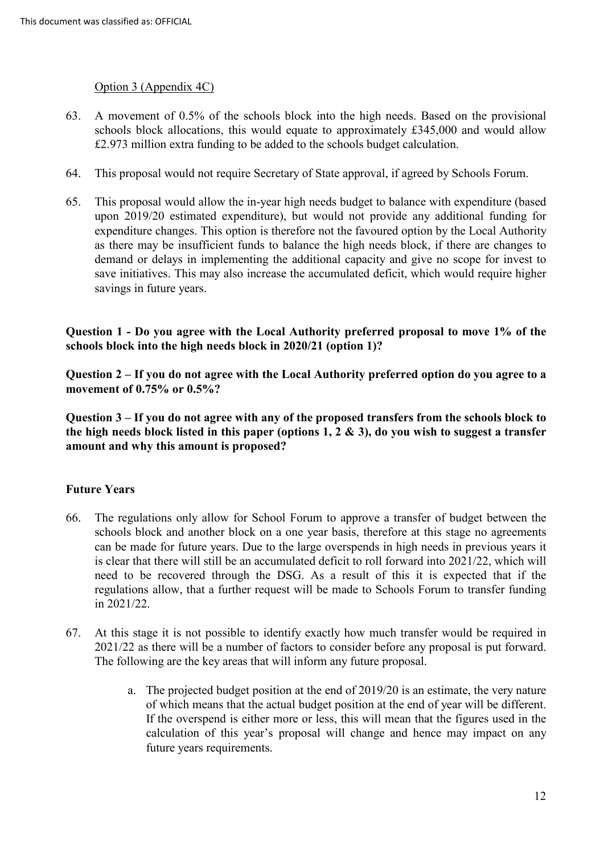# Option 3 (Appendix 4C)

- 63. A movement of 0.5% of the schools block into the high needs. Based on the provisional schools block allocations, this would equate to approximately £345,000 and would allow £2.973 million extra funding to be added to the schools budget calculation.
- 64. This proposal would not require Secretary of State approval, if agreed by Schools Forum.
- 65. This proposal would allow the in-year high needs budget to balance with expenditure (based upon 2019/20 estimated expenditure), but would not provide any additional funding for expenditure changes. This option is therefore not the favoured option by the Local Authority as there may be insufficient funds to balance the high needs block, if there are changes to demand or delays in implementing the additional capacity and give no scope for invest to save initiatives. This may also increase the accumulated deficit, which would require higher savings in future years.

**Question 1 - Do you agree with the Local Authority preferred proposal to move 1% of the schools block into the high needs block in 2020/21 (option 1)?**

**Question 2 – If you do not agree with the Local Authority preferred option do you agree to a movement of 0.75% or 0.5%?**

**Question 3 – If you do not agree with any of the proposed transfers from the schools block to the high needs block listed in this paper (options 1, 2 & 3), do you wish to suggest a transfer amount and why this amount is proposed?**

### **Future Years**

- 66. The regulations only allow for School Forum to approve a transfer of budget between the schools block and another block on a one year basis, therefore at this stage no agreements can be made for future years. Due to the large overspends in high needs in previous years it is clear that there will still be an accumulated deficit to roll forward into 2021/22, which will need to be recovered through the DSG. As a result of this it is expected that if the regulations allow, that a further request will be made to Schools Forum to transfer funding in 2021/22.
- 67. At this stage it is not possible to identify exactly how much transfer would be required in 2021/22 as there will be a number of factors to consider before any proposal is put forward. The following are the key areas that will inform any future proposal.
	- a. The projected budget position at the end of 2019/20 is an estimate, the very nature of which means that the actual budget position at the end of year will be different. If the overspend is either more or less, this will mean that the figures used in the calculation of this year's proposal will change and hence may impact on any future years requirements.